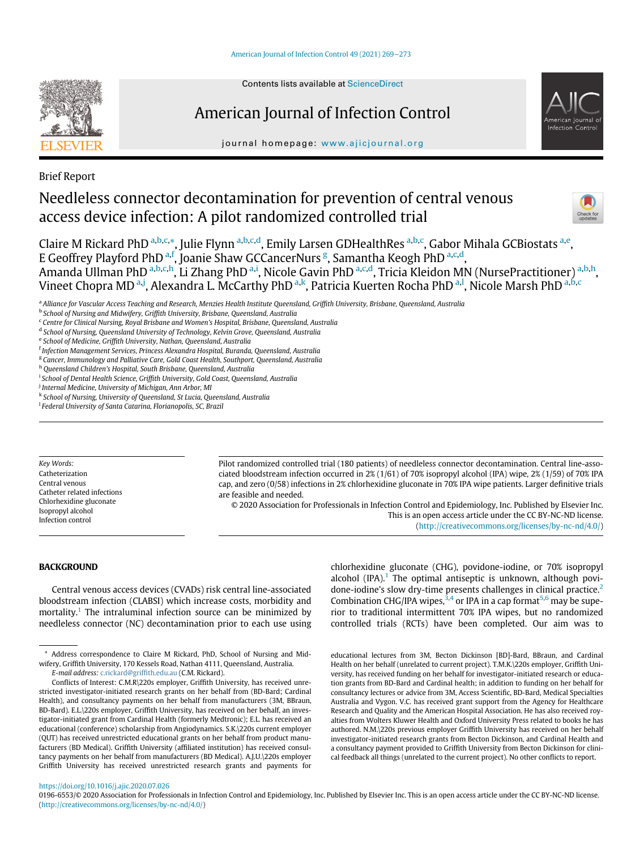

# American Journal of Infection Control



journal homepage: [www.ajicjournal.org](http://www.ajicjournal.org)

Brief Report

# Needleless connector decontamination for prevention of central venous access device infection: A pilot randomized controlled trial



Claire M Rickard PhD <sup>[a,](#page-0-0)[b](#page-0-1),[c,](#page-0-2)\*</sup>, Julie Flynn <sup>[a](#page-0-0),b[,c](#page-0-2),[d](#page-0-4)</sup>, Emily Larsen GDHealthRes <sup>a[,b](#page-0-1),[c](#page-0-2)</sup>, Gabor Mihala GCBiostats <sup>a,[e](#page-0-5)</sup>, E Geoffrey Pl[a](#page-0-0)yford PhD<sup>a[,f](#page-0-6)</sup>, Joanie Shaw GCCancerNurs<sup>[g](#page-0-7)</sup>, Samantha Keogh PhD<sup>a[,c](#page-0-2),[d](#page-0-4)</sup>, Am[a](#page-0-0)nda Ullman PhD <sup>a[,b](#page-0-1),[c,](#page-0-2)[h](#page-0-8)</sup>, Li Zhang PhD <sup>[a,](#page-0-0)[i](#page-0-9)</sup>, Ni[c](#page-0-2)ole Gavin PhD <sup>a,c[,d](#page-0-4)</sup>, Tricia Kleidon MN (NursePractitioner) <sup>a,[b](#page-0-1)[,h](#page-0-8)</sup>, Vineet Chopra MD <sup>[a,](#page-0-0)[j](#page-0-10)</sup>, Alex[a](#page-0-0)ndra L. McCarthy PhD <sup>a[,k](#page-0-11)</sup>, Patricia Kuerten Rocha PhD <sup>a,[l](#page-0-12)</sup>, Nicole Marsh PhD <sup>a,[b](#page-0-1)[,c](#page-0-2)</sup>

<span id="page-0-0"></span>a Alliance for Vascular Access Teaching and Research, Menzies Health Institute Queensland, Griffith University, Brisbane, Queensland, Australia

<span id="page-0-2"></span><sup>c</sup> Centre for Clinical Nursing, Royal Brisbane and Women's Hospital, Brisbane, Queensland, Australia

<span id="page-0-4"></span><sup>d</sup> School of Nursing, Queensland University of Technology, Kelvin Grove, Queensland, Australia

<span id="page-0-8"></span><sup>h</sup> Queensland Children's Hospital, South Brisbane, Queensland, Australia

<span id="page-0-9"></span><sup>i</sup> School of Dental Health Science, Griffith University, Gold Coast, Queensland, Australia

<span id="page-0-10"></span><sup>j</sup> Internal Medicine, University of Michigan, Ann Arbor, Ml

<span id="page-0-11"></span><sup>k</sup> School of Nursing, University of Queensland, St Lucia, Queensland, Australia

Key Words: Catheterization Central venous Catheter related infections Chlorhexidine gluconate Isopropyl alcohol Infection control

Pilot randomized controlled trial (180 patients) of needleless connector decontamination. Central line-associated bloodstream infection occurred in 2% (1/61) of 70% isopropyl alcohol (IPA) wipe, 2% (1/59) of 70% IPA cap, and zero (0/58) infections in 2% chlorhexidine gluconate in 70% IPA wipe patients. Larger definitive trials are feasible and needed.

© 2020 Association for Professionals in Infection Control and Epidemiology, Inc. Published by Elsevier Inc. This is an open access article under the CC BY-NC-ND license. [\(http://creativecommons.org/licenses/by-nc-nd/4.0/](http://creativecommons.org/licenses/by-nc-nd/4.0/))

## **BACKGROUND**

Central venous access devices (CVADs) risk central line-associated bloodstream infection (CLABSI) which increase costs, morbidity and mortality.<sup>[1](#page-4-0)</sup> The intraluminal infection source can be minimized by needleless connector (NC) decontamination prior to each use using

E-mail address: [c.rickard@grif](mailto:c.rickard@griffith.edu.au)fith.edu.au (C.M. Rickard).

chlorhexidine gluconate (CHG), povidone-iodine, or 70% isopropyl alcohol  $(IPA)^1$  $(IPA)^1$ . The optimal antiseptic is unknown, although povi-done-iodine's slow dry-time presents challenges in clinical practice.<sup>[2](#page-4-1)</sup> Combination CHG/IPA wipes,  $3,4$  $3,4$  $3,4$  or IPA in a cap format  $5,6$  $5,6$  may be superior to traditional intermittent 70% IPA wipes, but no randomized controlled trials (RCTs) have been completed. Our aim was to

educational lectures from 3M, Becton Dickinson [BD]-Bard, BBraun, and Cardinal Health on her behalf (unrelated to current project). T.M.K.\220s employer, Griffith University, has received funding on her behalf for investigator-initiated research or education grants from BD-Bard and Cardinal health; in addition to funding on her behalf for consultancy lectures or advice from 3M, Access Scientific, BD-Bard, Medical Specialties Australia and Vygon. V.C. has received grant support from the Agency for Healthcare Research and Quality and the American Hospital Association. He has also received royalties from Wolters Kluwer Health and Oxford University Press related to books he has authored. N.M.\220s previous employer Griffith University has received on her behalf investigator-initiated research grants from Becton Dickinson, and Cardinal Health and a consultancy payment provided to Griffith University from Becton Dickinson for clinical feedback all things (unrelated to the current project). No other conflicts to report.

<https://doi.org/10.1016/j.ajic.2020.07.026>

0196-6553/© 2020 Association for Professionals in Infection Control and Epidemiology, Inc. Published by Elsevier Inc. This is an open access article under the CC BY-NC-ND license. [\(http://creativecommons.org/licenses/by-nc-nd/4.0/\)](http://creativecommons.org/licenses/by-nc-nd/4.0/)

<span id="page-0-1"></span><sup>b</sup> School of Nursing and Midwifery, Griffith University, Brisbane, Queensland, Australia

<span id="page-0-5"></span><sup>e</sup> School of Medicine, Griffith University, Nathan, Queensland, Australia

<span id="page-0-6"></span><sup>&</sup>lt;sup>f</sup> Infection Management Services, Princess Alexandra Hospital, Buranda, Queensland, Australia

<span id="page-0-7"></span><sup>&</sup>lt;sup>g</sup> Cancer, Immunology and Palliative Care, Gold Coast Health, Southport, Queensland, Australia

<span id="page-0-12"></span><sup>&</sup>lt;sup>1</sup> Federal University of Santa Catarina, Florianopolis, SC, Brazil

<span id="page-0-3"></span><sup>\*</sup> Address correspondence to Claire M Rickard, PhD, School of Nursing and Midwifery, Griffith University, 170 Kessels Road, Nathan 4111, Queensland, Australia.

Conflicts of Interest: C.M.R\220s employer, Griffith University, has received unrestricted investigator-initiated research grants on her behalf from (BD-Bard; Cardinal Health), and consultancy payments on her behalf from manufacturers (3M, BBraun, BD-Bard). E.L.\220s employer, Griffith University, has received on her behalf, an investigator-initiated grant from Cardinal Health (formerly Medtronic); E.L. has received an educational (conference) scholarship from Angiodynamics. S.K.\220s current employer (QUT) has received unrestricted educational grants on her behalf from product manufacturers (BD Medical). Griffith University (affiliated institution) has received consultancy payments on her behalf from manufacturers (BD Medical). A.J.U.\220s employer Griffith University has received unrestricted research grants and payments for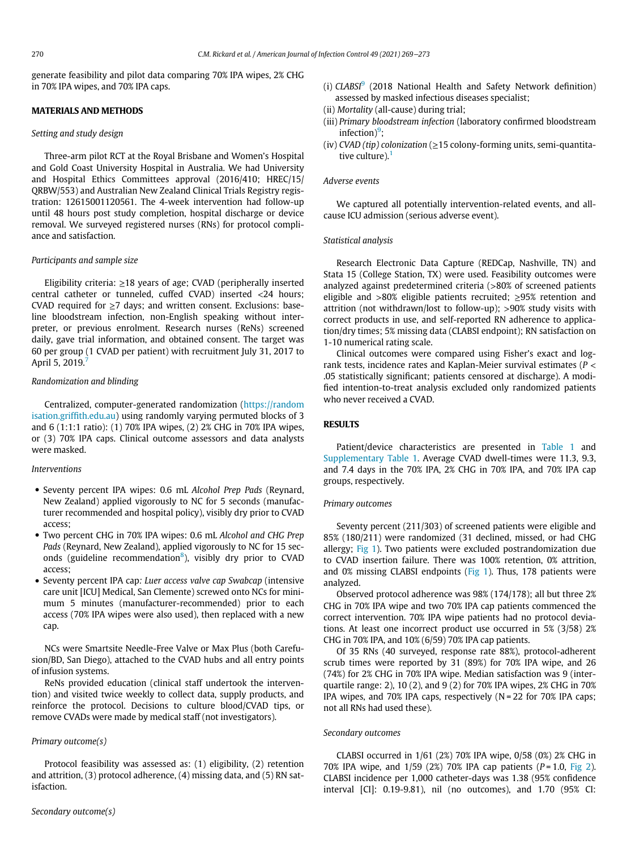generate feasibility and pilot data comparing 70% IPA wipes, 2% CHG in 70% IPA wipes, and 70% IPA caps.

## MATERIALS AND METHODS

#### Setting and study design

Three-arm pilot RCT at the Royal Brisbane and Women's Hospital and Gold Coast University Hospital in Australia. We had University and Hospital Ethics Committees approval (2016/410; HREC/15/ QRBW/553) and Australian New Zealand Clinical Trials Registry registration: 12615001120561. The 4-week intervention had follow-up until 48 hours post study completion, hospital discharge or device removal. We surveyed registered nurses (RNs) for protocol compliance and satisfaction.

#### Participants and sample size

Eligibility criteria: ≥18 years of age; CVAD (peripherally inserted central catheter or tunneled, cuffed CVAD) inserted <24 hours; CVAD required for  $\geq$ 7 days; and written consent. Exclusions: baseline bloodstream infection, non-English speaking without interpreter, or previous enrolment. Research nurses (ReNs) screened daily, gave trial information, and obtained consent. The target was 60 per group (1 CVAD per patient) with recruitment July 31, 2017 to April 5, 2019.<sup>[7](#page-4-6)</sup>

### Randomization and blinding

Centralized, computer-generated randomization ([https://random](https://randomisation.griffith.edu.au) [isation.grif](https://randomisation.griffith.edu.au)fith.edu.au) using randomly varying permuted blocks of 3 and 6 (1:1:1 ratio): (1) 70% IPA wipes, (2) 2% CHG in 70% IPA wipes, or (3) 70% IPA caps. Clinical outcome assessors and data analysts were masked.

#### Interventions

- Seventy percent IPA wipes: 0.6 mL Alcohol Prep Pads (Reynard, New Zealand) applied vigorously to NC for 5 seconds (manufacturer recommended and hospital policy), visibly dry prior to CVAD access;
- Two percent CHG in 70% IPA wipes: 0.6 mL Alcohol and CHG Prep Pads (Reynard, New Zealand), applied vigorously to NC for 15 sec-onds (guideline recommendation<sup>[8](#page-4-7)</sup>), visibly dry prior to CVAD access;
- Seventy percent IPA cap: Luer access valve cap Swabcap (intensive care unit [ICU] Medical, San Clemente) screwed onto NCs for minimum 5 minutes (manufacturer-recommended) prior to each access (70% IPA wipes were also used), then replaced with a new cap.

NCs were Smartsite Needle-Free Valve or Max Plus (both Carefusion/BD, San Diego), attached to the CVAD hubs and all entry points of infusion systems.

ReNs provided education (clinical staff undertook the intervention) and visited twice weekly to collect data, supply products, and reinforce the protocol. Decisions to culture blood/CVAD tips, or remove CVADs were made by medical staff (not investigators).

## Primary outcome(s)

Protocol feasibility was assessed as: (1) eligibility, (2) retention and attrition, (3) protocol adherence, (4) missing data, and (5) RN satisfaction.

- (i)  $CLABSI<sup>9</sup>$  $CLABSI<sup>9</sup>$  $CLABSI<sup>9</sup>$  (2018 National Health and Safety Network definition) assessed by masked infectious diseases specialist;
- (ii) Mortality (all-cause) during trial;
- (iii) Primary bloodstream infection (laboratory confirmed bloodstream  $infection)<sup>9</sup>$  $infection)<sup>9</sup>$  $infection)<sup>9</sup>$ ;
- (iv) CVAD (tip) colonization ( $\geq$ 15 colony-forming units, semi-quantitative culture). $<sup>1</sup>$  $<sup>1</sup>$  $<sup>1</sup>$ </sup>

#### Adverse events

We captured all potentially intervention-related events, and allcause ICU admission (serious adverse event).

### Statistical analysis

Research Electronic Data Capture (REDCap, Nashville, TN) and Stata 15 (College Station, TX) were used. Feasibility outcomes were analyzed against predetermined criteria (>80% of screened patients eligible and  $>80\%$  eligible patients recruited;  $\geq$ 95% retention and attrition (not withdrawn/lost to follow-up); >90% study visits with correct products in use, and self-reported RN adherence to application/dry times; 5% missing data (CLABSI endpoint); RN satisfaction on 1-10 numerical rating scale.

Clinical outcomes were compared using Fisher's exact and logrank tests, incidence rates and Kaplan-Meier survival estimates ( $P <$ .05 statistically significant; patients censored at discharge). A modified intention-to-treat analysis excluded only randomized patients who never received a CVAD.

# RESULTS

Patient/device characteristics are presented in [Table 1](#page-2-0) and [Supplementary Table 1.](#page-4-9) Average CVAD dwell-times were 11.3, 9.3, and 7.4 days in the 70% IPA, 2% CHG in 70% IPA, and 70% IPA cap groups, respectively.

#### Primary outcomes

Seventy percent (211/303) of screened patients were eligible and 85% (180/211) were randomized (31 declined, missed, or had CHG allergy; [Fig 1\)](#page-3-0). Two patients were excluded postrandomization due to CVAD insertion failure. There was 100% retention, 0% attrition, and 0% missing CLABSI endpoints [\(Fig 1\)](#page-3-0). Thus, 178 patients were analyzed.

Observed protocol adherence was 98% (174/178); all but three 2% CHG in 70% IPA wipe and two 70% IPA cap patients commenced the correct intervention. 70% IPA wipe patients had no protocol deviations. At least one incorrect product use occurred in 5% (3/58) 2% CHG in 70% IPA, and 10% (6/59) 70% IPA cap patients.

Of 35 RNs (40 surveyed, response rate 88%), protocol-adherent scrub times were reported by 31 (89%) for 70% IPA wipe, and 26 (74%) for 2% CHG in 70% IPA wipe. Median satisfaction was 9 (interquartile range: 2), 10 (2), and 9 (2) for 70% IPA wipes, 2% CHG in 70% IPA wipes, and 70% IPA caps, respectively (N = 22 for 70% IPA caps; not all RNs had used these).

### Secondary outcomes

CLABSI occurred in 1/61 (2%) 70% IPA wipe, 0/58 (0%) 2% CHG in 70% IPA wipe, and  $1/59$  (2%) 70% IPA cap patients ( $P = 1.0$ , [Fig 2](#page-3-1)). CLABSI incidence per 1,000 catheter-days was 1.38 (95% confidence interval [CI]: 0.19-9.81), nil (no outcomes), and 1.70 (95% CI: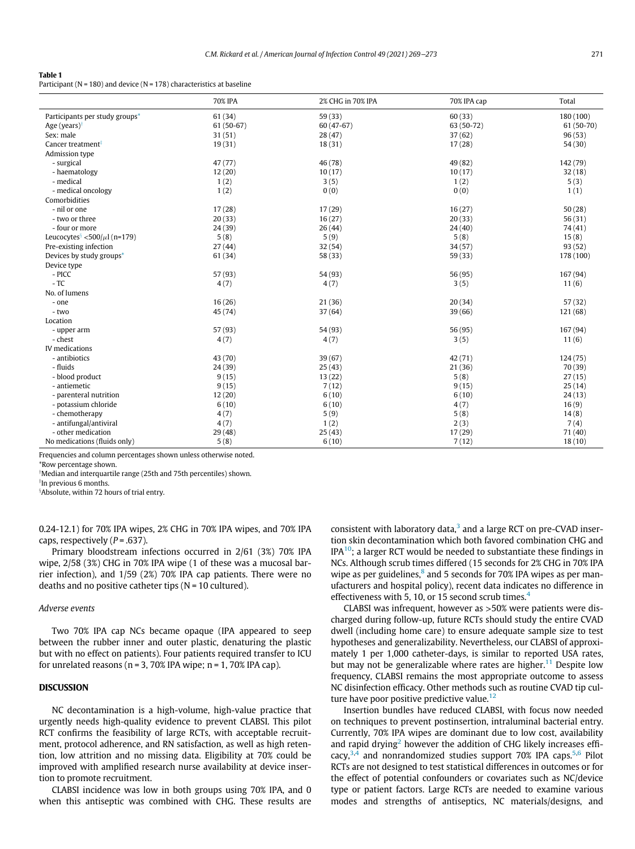#### <span id="page-2-0"></span>Table 1

Participant ( $N = 180$ ) and device ( $N = 178$ ) characteristics at baseline

|                                                | 70% IPA    | 2% CHG in 70% IPA | 70% IPA cap | Total       |
|------------------------------------------------|------------|-------------------|-------------|-------------|
| Participants per study groups*                 | 61 (34)    | 59(33)            | 60(33)      | 180(100)    |
| Age (years) $†$                                | 61 (50-67) | $60(47-67)$       | 63 (50-72)  | $61(50-70)$ |
| Sex: male                                      | 31(51)     | 28(47)            | 37(62)      | 96(53)      |
| Cancer treatment <sup>‡</sup>                  | 19(31)     | 18(31)            | 17(28)      | 54(30)      |
| Admission type                                 |            |                   |             |             |
| - surgical                                     | 47 (77)    | 46 (78)           | 49 (82)     | 142 (79)    |
| - haematology                                  | 12(20)     | 10(17)            | 10(17)      | 32(18)      |
| - medical                                      | 1(2)       | 3(5)              | 1(2)        | 5(3)        |
| - medical oncology                             | 1(2)       | 0(0)              | 0(0)        | 1(1)        |
| Comorbidities                                  |            |                   |             |             |
| - nil or one                                   | 17(28)     | 17(29)            | 16(27)      | 50(28)      |
| - two or three                                 | 20(33)     | 16(27)            | 20(33)      | 56(31)      |
| - four or more                                 | 24(39)     | 26(44)            | 24(40)      | 74 (41)     |
| Leucocytes $\frac{1}{2}$ <500/ $\mu$ l (n=179) | 5(8)       | 5(9)              | 5(8)        | 15(8)       |
| Pre-existing infection                         | 27(44)     | 32(54)            | 34(57)      | 93(52)      |
| Devices by study groups*                       | 61(34)     | 58 (33)           | 59(33)      | 178 (100)   |
| Device type                                    |            |                   |             |             |
| - PICC                                         | 57 (93)    | 54 (93)           | 56 (95)     | 167 (94)    |
| $-TC$                                          | 4(7)       | 4(7)              | 3(5)        | 11(6)       |
| No. of lumens                                  |            |                   |             |             |
| - one                                          | 16(26)     | 21(36)            | 20(34)      | 57(32)      |
| - two                                          | 45 (74)    | 37(64)            | 39(66)      | 121(68)     |
| Location                                       |            |                   |             |             |
| - upper arm                                    | 57 (93)    | 54 (93)           | 56 (95)     | 167 (94)    |
| - chest                                        | 4(7)       | 4(7)              | 3(5)        | 11(6)       |
| IV medications                                 |            |                   |             |             |
| - antibiotics                                  | 43 (70)    | 39(67)            | 42 (71)     | 124(75)     |
| - fluids                                       | 24(39)     | 25(43)            | 21(36)      | 70 (39)     |
| - blood product                                | 9(15)      | 13(22)            | 5(8)        | 27(15)      |
| - antiemetic                                   | 9(15)      | 7(12)             | 9(15)       | 25(14)      |
| - parenteral nutrition                         | 12(20)     | 6(10)             | 6(10)       | 24(13)      |
| - potassium chloride                           | 6(10)      | 6(10)             | 4(7)        | 16(9)       |
| - chemotherapy                                 | 4(7)       | 5(9)              | 5(8)        | 14(8)       |
| - antifungal/antiviral                         | 4(7)       | 1(2)              | 2(3)        | 7(4)        |
| - other medication                             | 29(48)     | 25(43)            | 17(29)      | 71 (40)     |
| No medications (fluids only)                   | 5(8)       | 6(10)             | 7(12)       | 18(10)      |

Frequencies and column percentages shown unless otherwise noted.

<span id="page-2-2"></span><span id="page-2-1"></span>\*Row percentage shown.

Median and interquartile range (25th and 75th percentiles) shown.

<span id="page-2-3"></span> ${}^{\mathrm{I}}$ In previous 6 months.

x Absolute, within 72 hours of trial entry.

0.24-12.1) for 70% IPA wipes, 2% CHG in 70% IPA wipes, and 70% IPA caps, respectively  $(P=.637)$ .

Primary bloodstream infections occurred in 2/61 (3%) 70% IPA wipe, 2/58 (3%) CHG in 70% IPA wipe (1 of these was a mucosal barrier infection), and 1/59 (2%) 70% IPA cap patients. There were no deaths and no positive catheter tips  $(N = 10$  cultured).

#### Adverse events

Two 70% IPA cap NCs became opaque (IPA appeared to seep between the rubber inner and outer plastic, denaturing the plastic but with no effect on patients). Four patients required transfer to ICU for unrelated reasons ( $n = 3$ , 70% IPA wipe;  $n = 1$ , 70% IPA cap).

## **DISCUSSION**

NC decontamination is a high-volume, high-value practice that urgently needs high-quality evidence to prevent CLABSI. This pilot RCT confirms the feasibility of large RCTs, with acceptable recruitment, protocol adherence, and RN satisfaction, as well as high retention, low attrition and no missing data. Eligibility at 70% could be improved with amplified research nurse availability at device insertion to promote recruitment.

CLABSI incidence was low in both groups using 70% IPA, and 0 when this antiseptic was combined with CHG. These results are consistent with laboratory data, $3$  and a large RCT on pre-CVAD insertion skin decontamination which both favored combination CHG and  $IPA^{10}$ ; a larger RCT would be needed to substantiate these findings in NCs. Although scrub times differed (15 seconds for 2% CHG in 70% IPA wipe as per guidelines, $8$  and 5 seconds for 70% IPA wipes as per manufacturers and hospital policy), recent data indicates no difference in effectiveness with 5, 10, or 15 second scrub times.<sup>[4](#page-4-3)</sup>

CLABSI was infrequent, however as >50% were patients were discharged during follow-up, future RCTs should study the entire CVAD dwell (including home care) to ensure adequate sample size to test hypotheses and generalizability. Nevertheless, our CLABSI of approximately 1 per 1,000 catheter-days, is similar to reported USA rates, but may not be generalizable where rates are higher.<sup>[11](#page-4-11)</sup> Despite low frequency, CLABSI remains the most appropriate outcome to assess NC disinfection efficacy. Other methods such as routine CVAD tip cul-ture have poor positive predictive value.<sup>[12](#page-4-12)</sup>

Insertion bundles have reduced CLABSI, with focus now needed on techniques to prevent postinsertion, intraluminal bacterial entry. Currently, 70% IPA wipes are dominant due to low cost, availability and rapid drying<sup>[2](#page-4-1)</sup> however the addition of CHG likely increases efficacy, $3,4$  $3,4$  and nonrandomized studies support 70% IPA caps.  $5,6$  $5,6$  Pilot RCTs are not designed to test statistical differences in outcomes or for the effect of potential confounders or covariates such as NC/device type or patient factors. Large RCTs are needed to examine various modes and strengths of antiseptics, NC materials/designs, and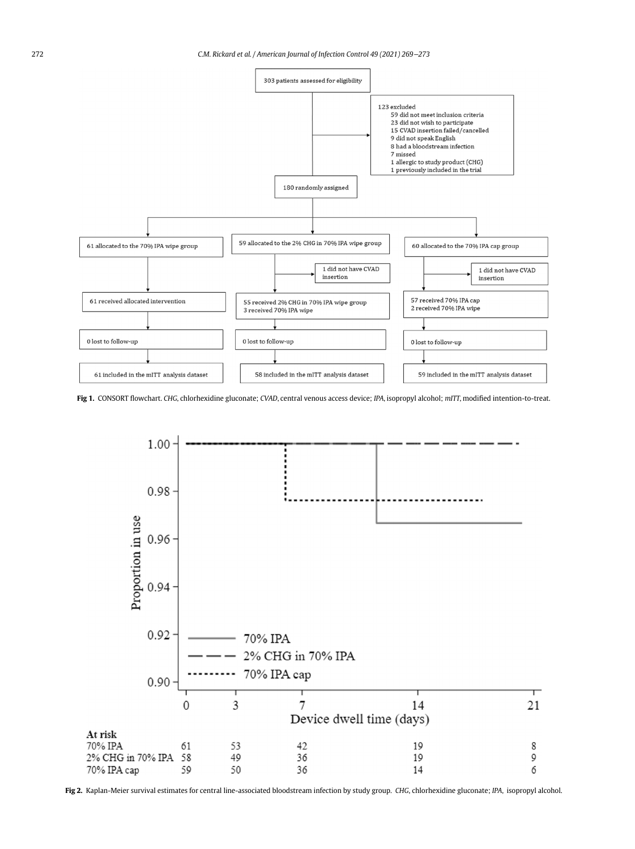<span id="page-3-0"></span>

<span id="page-3-1"></span>Fig 1. CONSORT flowchart. CHG, chlorhexidine gluconate; CVAD, central venous access device; IPA, isopropyl alcohol; mITT, modified intention-to-treat.



Fig 2. Kaplan-Meier survival estimates for central line-associated bloodstream infection by study group. CHG, chlorhexidine gluconate; IPA, isopropyl alcohol.